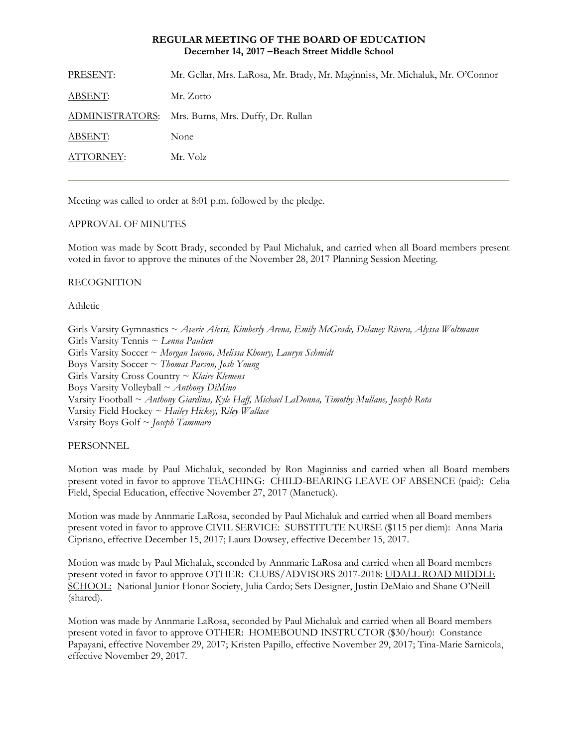# **REGULAR MEETING OF THE BOARD OF EDUCATION December 14, 2017 –Beach Street Middle School**

| PRESENT:       | Mr. Gellar, Mrs. LaRosa, Mr. Brady, Mr. Maginniss, Mr. Michaluk, Mr. O'Connor |
|----------------|-------------------------------------------------------------------------------|
| <b>ABSENT:</b> | Mr. Zotto                                                                     |
|                | ADMINISTRATORS: Mrs. Burns, Mrs. Duffy, Dr. Rullan                            |
| ABSENT:        | None                                                                          |
| ATTORNEY:      | Mr. Volz                                                                      |
|                |                                                                               |

Meeting was called to order at 8:01 p.m. followed by the pledge.

#### APPROVAL OF MINUTES

Motion was made by Scott Brady, seconded by Paul Michaluk, and carried when all Board members present voted in favor to approve the minutes of the November 28, 2017 Planning Session Meeting.

# RECOGNITION

# Athletic

Girls Varsity Gymnastics ~ *Averie Alessi, Kimberly Arena, Emily McGrade, Delaney Rivera, Alyssa Woltmann* Girls Varsity Tennis ~ *Lenna Paulsen* Girls Varsity Soccer ~ *Morgan Iacono, Melissa Khoury, Lauryn Schmidt* Boys Varsity Soccer ~ *Thomas Parson, Josh Young* Girls Varsity Cross Country ~ *Klaire Klemens* Boys Varsity Volleyball ~ *Anthony DiMino* Varsity Football ~ *Anthony Giardina, Kyle Haff, Michael LaDonna, Timothy Mullane, Joseph Rota* Varsity Field Hockey ~ *Hailey Hickey, Riley Wallace* Varsity Boys Golf ~ *Joseph Tammaro*

#### PERSONNEL

Motion was made by Paul Michaluk, seconded by Ron Maginniss and carried when all Board members present voted in favor to approve TEACHING: CHILD-BEARING LEAVE OF ABSENCE (paid): Celia Field, Special Education, effective November 27, 2017 (Manetuck).

Motion was made by Annmarie LaRosa, seconded by Paul Michaluk and carried when all Board members present voted in favor to approve CIVIL SERVICE:SUBSTITUTE NURSE (\$115 per diem): Anna Maria Cipriano, effective December 15, 2017; Laura Dowsey, effective December 15, 2017.

Motion was made by Paul Michaluk, seconded by Annmarie LaRosa and carried when all Board members present voted in favor to approve OTHER: CLUBS/ADVISORS 2017-2018: UDALL ROAD MIDDLE SCHOOL: National Junior Honor Society, Julia Cardo; Sets Designer, Justin DeMaio and Shane O'Neill (shared).

Motion was made by Annmarie LaRosa, seconded by Paul Michaluk and carried when all Board members present voted in favor to approve OTHER: HOMEBOUND INSTRUCTOR (\$30/hour): Constance Papayani, effective November 29, 2017; Kristen Papillo, effective November 29, 2017; Tina-Marie Sarnicola, effective November 29, 2017.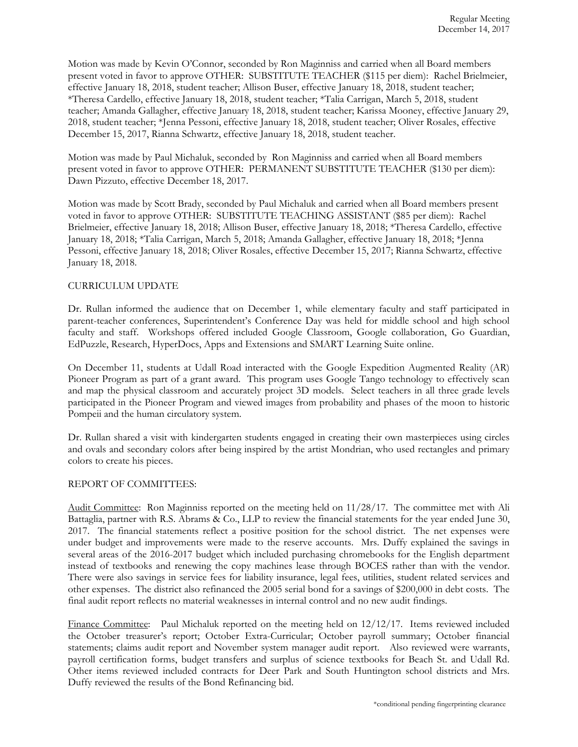Motion was made by Kevin O'Connor, seconded by Ron Maginniss and carried when all Board members present voted in favor to approve OTHER: SUBSTITUTE TEACHER (\$115 per diem): Rachel Brielmeier, effective January 18, 2018, student teacher; Allison Buser, effective January 18, 2018, student teacher; \*Theresa Cardello, effective January 18, 2018, student teacher; \*Talia Carrigan, March 5, 2018, student teacher; Amanda Gallagher, effective January 18, 2018, student teacher; Karissa Mooney, effective January 29, 2018, student teacher; \*Jenna Pessoni, effective January 18, 2018, student teacher; Oliver Rosales, effective December 15, 2017, Rianna Schwartz, effective January 18, 2018, student teacher.

Motion was made by Paul Michaluk, seconded by Ron Maginniss and carried when all Board members present voted in favor to approve OTHER: PERMANENT SUBSTITUTE TEACHER (\$130 per diem): Dawn Pizzuto, effective December 18, 2017.

Motion was made by Scott Brady, seconded by Paul Michaluk and carried when all Board members present voted in favor to approve OTHER: SUBSTITUTE TEACHING ASSISTANT (\$85 per diem): Rachel Brielmeier, effective January 18, 2018; Allison Buser, effective January 18, 2018; \*Theresa Cardello, effective January 18, 2018; \*Talia Carrigan, March 5, 2018; Amanda Gallagher, effective January 18, 2018; \*Jenna Pessoni, effective January 18, 2018; Oliver Rosales, effective December 15, 2017; Rianna Schwartz, effective January 18, 2018.

# CURRICULUM UPDATE

Dr. Rullan informed the audience that on December 1, while elementary faculty and staff participated in parent-teacher conferences, Superintendent's Conference Day was held for middle school and high school faculty and staff. Workshops offered included Google Classroom, Google collaboration, Go Guardian, EdPuzzle, Research, HyperDocs, Apps and Extensions and SMART Learning Suite online.

On December 11, students at Udall Road interacted with the Google Expedition Augmented Reality (AR) Pioneer Program as part of a grant award. This program uses Google Tango technology to effectively scan and map the physical classroom and accurately project 3D models. Select teachers in all three grade levels participated in the Pioneer Program and viewed images from probability and phases of the moon to historic Pompeii and the human circulatory system.

Dr. Rullan shared a visit with kindergarten students engaged in creating their own masterpieces using circles and ovals and secondary colors after being inspired by the artist Mondrian, who used rectangles and primary colors to create his pieces.

#### REPORT OF COMMITTEES:

Audit Committee: Ron Maginniss reported on the meeting held on 11/28/17. The committee met with Ali Battaglia, partner with R.S. Abrams & Co., LLP to review the financial statements for the year ended June 30, 2017. The financial statements reflect a positive position for the school district. The net expenses were under budget and improvements were made to the reserve accounts. Mrs. Duffy explained the savings in several areas of the 2016-2017 budget which included purchasing chromebooks for the English department instead of textbooks and renewing the copy machines lease through BOCES rather than with the vendor. There were also savings in service fees for liability insurance, legal fees, utilities, student related services and other expenses. The district also refinanced the 2005 serial bond for a savings of \$200,000 in debt costs. The final audit report reflects no material weaknesses in internal control and no new audit findings.

Finance Committee: Paul Michaluk reported on the meeting held on 12/12/17. Items reviewed included the October treasurer's report; October Extra-Curricular; October payroll summary; October financial statements; claims audit report and November system manager audit report. Also reviewed were warrants, payroll certification forms, budget transfers and surplus of science textbooks for Beach St. and Udall Rd. Other items reviewed included contracts for Deer Park and South Huntington school districts and Mrs. Duffy reviewed the results of the Bond Refinancing bid.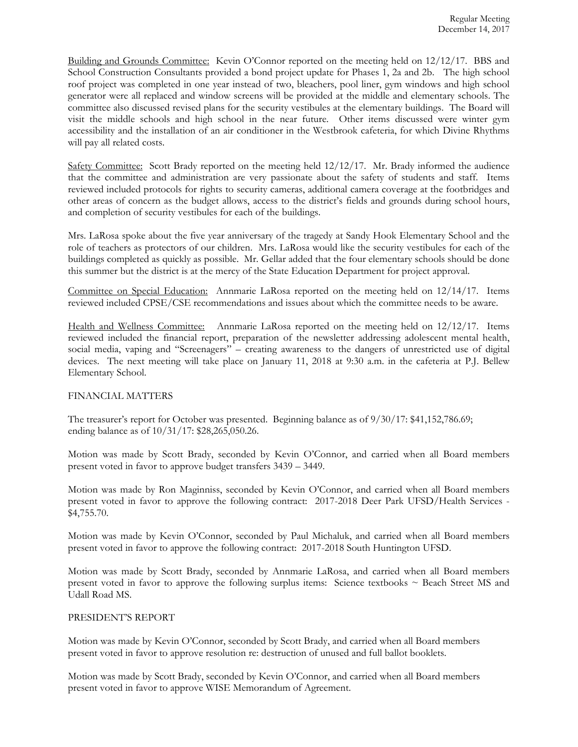Building and Grounds Committee: Kevin O'Connor reported on the meeting held on 12/12/17. BBS and School Construction Consultants provided a bond project update for Phases 1, 2a and 2b. The high school roof project was completed in one year instead of two, bleachers, pool liner, gym windows and high school generator were all replaced and window screens will be provided at the middle and elementary schools. The committee also discussed revised plans for the security vestibules at the elementary buildings. The Board will visit the middle schools and high school in the near future. Other items discussed were winter gym accessibility and the installation of an air conditioner in the Westbrook cafeteria, for which Divine Rhythms will pay all related costs.

Safety Committee: Scott Brady reported on the meeting held  $12/12/17$ . Mr. Brady informed the audience that the committee and administration are very passionate about the safety of students and staff. Items reviewed included protocols for rights to security cameras, additional camera coverage at the footbridges and other areas of concern as the budget allows, access to the district's fields and grounds during school hours, and completion of security vestibules for each of the buildings.

Mrs. LaRosa spoke about the five year anniversary of the tragedy at Sandy Hook Elementary School and the role of teachers as protectors of our children. Mrs. LaRosa would like the security vestibules for each of the buildings completed as quickly as possible. Mr. Gellar added that the four elementary schools should be done this summer but the district is at the mercy of the State Education Department for project approval.

Committee on Special Education: Annmarie LaRosa reported on the meeting held on 12/14/17. Items reviewed included CPSE/CSE recommendations and issues about which the committee needs to be aware.

Health and Wellness Committee: Annmarie LaRosa reported on the meeting held on 12/12/17. Items reviewed included the financial report, preparation of the newsletter addressing adolescent mental health, social media, vaping and "Screenagers" – creating awareness to the dangers of unrestricted use of digital devices. The next meeting will take place on January 11, 2018 at 9:30 a.m. in the cafeteria at P.J. Bellew Elementary School.

# FINANCIAL MATTERS

The treasurer's report for October was presented. Beginning balance as of 9/30/17: \$41,152,786.69; ending balance as of 10/31/17: \$28,265,050.26.

Motion was made by Scott Brady, seconded by Kevin O'Connor, and carried when all Board members present voted in favor to approve budget transfers 3439 – 3449.

Motion was made by Ron Maginniss, seconded by Kevin O'Connor, and carried when all Board members present voted in favor to approve the following contract: 2017-2018 Deer Park UFSD/Health Services - \$4,755.70.

Motion was made by Kevin O'Connor, seconded by Paul Michaluk, and carried when all Board members present voted in favor to approve the following contract: 2017-2018 South Huntington UFSD.

Motion was made by Scott Brady, seconded by Annmarie LaRosa, and carried when all Board members present voted in favor to approve the following surplus items: Science textbooks ~ Beach Street MS and Udall Road MS.

## PRESIDENT'S REPORT

Motion was made by Kevin O'Connor, seconded by Scott Brady, and carried when all Board members present voted in favor to approve resolution re: destruction of unused and full ballot booklets.

Motion was made by Scott Brady, seconded by Kevin O'Connor, and carried when all Board members present voted in favor to approve WISE Memorandum of Agreement.